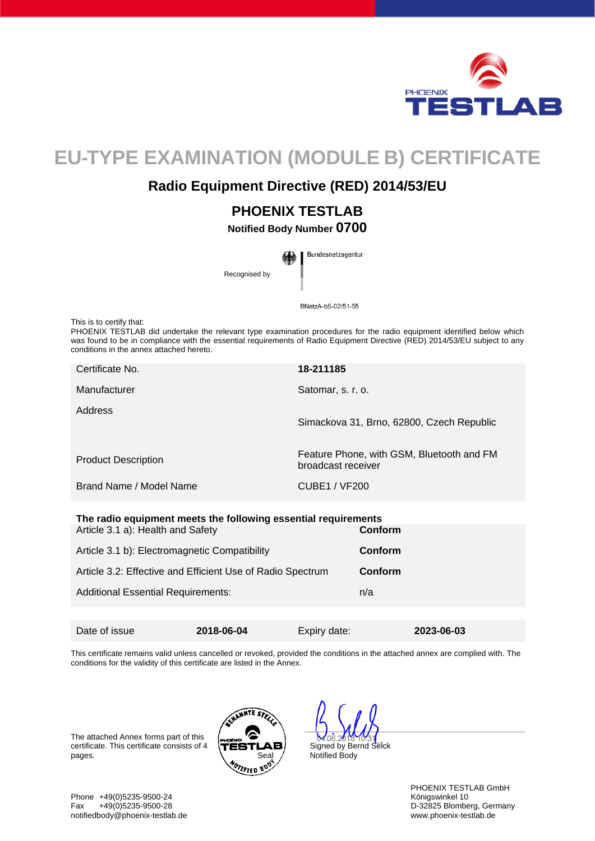

# **EU-TYPE EXAMINATION (MODULE B) CERTIFICATE**

## **Radio Equipment Directive (RED) 2014/53/EU**

# **PHOENIX TESTLAB**

**Notified Body Number 0700** 

Bundesnetzagentur Recognised by

BNetzA-bS-02/51-55

This is to certify that:

PHOENIX TESTLAB did undertake the relevant type examination procedures for the radio equipment identified below which was found to be in compliance with the essential requirements of Radio Equipment Directive (RED) 2014/53/EU subject to any conditions in the annex attached hereto.

| Certificate No.            | 18-211185                                                       |
|----------------------------|-----------------------------------------------------------------|
| Manufacturer               | Satomar, s. r. o.                                               |
| Address                    | Simackova 31, Brno, 62800, Czech Republic                       |
| <b>Product Description</b> | Feature Phone, with GSM, Bluetooth and FM<br>broadcast receiver |
| Brand Name / Model Name    | CUBE1 / VF200                                                   |

#### **The radio equipment meets the following essential requirements**

| Article 3.1 a): Health and Safety                          | <b>Conform</b> |
|------------------------------------------------------------|----------------|
| Article 3.1 b): Electromagnetic Compatibility              | Conform        |
| Article 3.2: Effective and Efficient Use of Radio Spectrum | <b>Conform</b> |
| <b>Additional Essential Requirements:</b>                  | n/a            |
|                                                            |                |

This certificate remains valid unless cancelled or revoked, provided the conditions in the attached annex are complied with. The conditions for the validity of this certificate are listed in the Annex.

Date of issue **2018-06-04** Expiry date: **2023-06-03** 

The attached Annex forms part of this certificate. This certificate consists of 4 pages.



 $062$ Signed by Bernd Selck Notified Body

PHOENIX TESTLAB GmbH<br>Königswinkel 10

Phone +49(0)5235-9500-24<br>Fax +49(0)5235-9500-28 Fax +49(0)5235-9500-28 D-32825 Blomberg, Germany notifiedbody@phoenix-testlab.de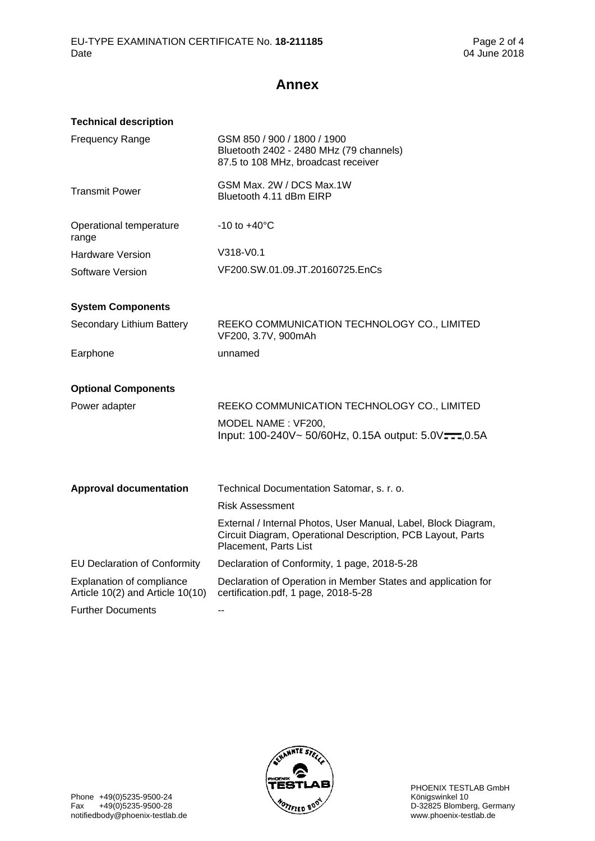# **Annex**

| <b>Technical description</b>                                         |                                                                                                                                                        |
|----------------------------------------------------------------------|--------------------------------------------------------------------------------------------------------------------------------------------------------|
| <b>Frequency Range</b>                                               | GSM 850 / 900 / 1800 / 1900<br>Bluetooth 2402 - 2480 MHz (79 channels)<br>87.5 to 108 MHz, broadcast receiver                                          |
| <b>Transmit Power</b>                                                | GSM Max, 2W / DCS Max, 1W<br>Bluetooth 4.11 dBm EIRP                                                                                                   |
| Operational temperature<br>range                                     | $-10$ to $+40^{\circ}$ C                                                                                                                               |
| <b>Hardware Version</b>                                              | V318-V0.1                                                                                                                                              |
| Software Version                                                     | VF200.SW.01.09.JT.20160725.EnCs                                                                                                                        |
| <b>System Components</b>                                             |                                                                                                                                                        |
| Secondary Lithium Battery                                            | REEKO COMMUNICATION TECHNOLOGY CO., LIMITED<br>VF200, 3.7V, 900mAh                                                                                     |
| Earphone                                                             | unnamed                                                                                                                                                |
| <b>Optional Components</b>                                           |                                                                                                                                                        |
| Power adapter                                                        | REEKO COMMUNICATION TECHNOLOGY CO., LIMITED                                                                                                            |
|                                                                      | MODEL NAME: VF200,                                                                                                                                     |
|                                                                      | Input: 100-240V~ 50/60Hz, 0.15A output: 5.0V===,0.5A                                                                                                   |
| <b>Approval documentation</b>                                        | Technical Documentation Satomar, s. r. o.                                                                                                              |
|                                                                      | <b>Risk Assessment</b>                                                                                                                                 |
|                                                                      | External / Internal Photos, User Manual, Label, Block Diagram,<br>Circuit Diagram, Operational Description, PCB Layout, Parts<br>Placement, Parts List |
| <b>EU Declaration of Conformity</b>                                  | Declaration of Conformity, 1 page, 2018-5-28                                                                                                           |
| <b>Explanation of compliance</b><br>Article 10(2) and Article 10(10) | Declaration of Operation in Member States and application for<br>certification.pdf, 1 page, 2018-5-28                                                  |
| <b>Further Documents</b>                                             | $\overline{a}$                                                                                                                                         |

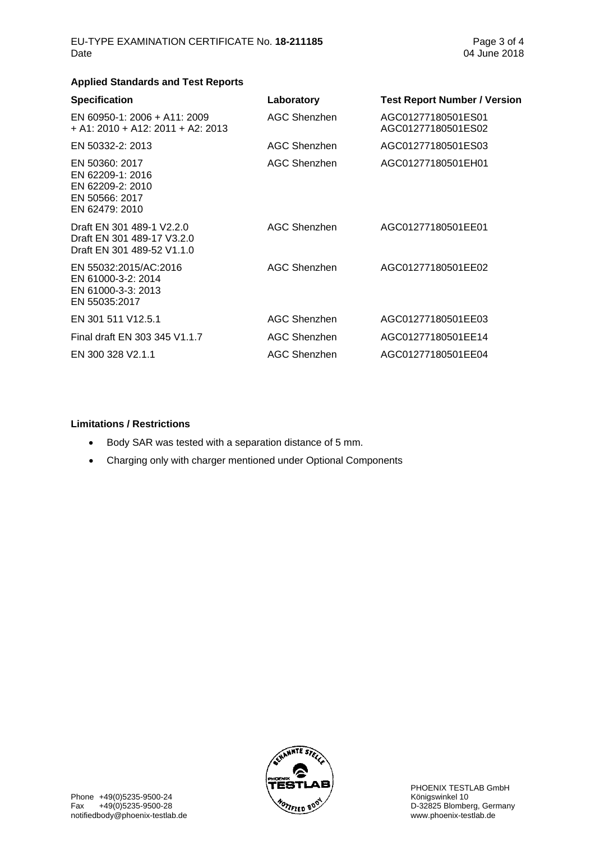### **Applied Standards and Test Reports**

| <b>Specification</b>                                                                       | Laboratory   | <b>Test Report Number / Version</b>      |
|--------------------------------------------------------------------------------------------|--------------|------------------------------------------|
| EN 60950-1: 2006 + A11: 2009<br>$+$ A1: 2010 + A12: 2011 + A2: 2013                        | AGC Shenzhen | AGC01277180501ES01<br>AGC01277180501ES02 |
| EN 50332-2: 2013                                                                           | AGC Shenzhen | AGC01277180501ES03                       |
| EN 50360: 2017<br>EN 62209-1: 2016<br>EN 62209-2: 2010<br>EN 50566: 2017<br>EN 62479: 2010 | AGC Shenzhen | AGC01277180501EH01                       |
| Draft EN 301 489-1 V2.2.0<br>Draft EN 301 489-17 V3.2.0<br>Draft EN 301 489-52 V1.1.0      | AGC Shenzhen | AGC01277180501EE01                       |
| EN 55032:2015/AC:2016<br>EN 61000-3-2: 2014<br>EN 61000-3-3: 2013<br>EN 55035:2017         | AGC Shenzhen | AGC01277180501EE02                       |
| EN 301 511 V12.5.1                                                                         | AGC Shenzhen | AGC01277180501EE03                       |
| Final draft EN 303 345 V1.1.7                                                              | AGC Shenzhen | AGC01277180501EE14                       |
| EN 300 328 V2.1.1                                                                          | AGC Shenzhen | AGC01277180501EE04                       |
|                                                                                            |              |                                          |

#### **Limitations / Restrictions**

- Body SAR was tested with a separation distance of 5 mm.
- Charging only with charger mentioned under Optional Components